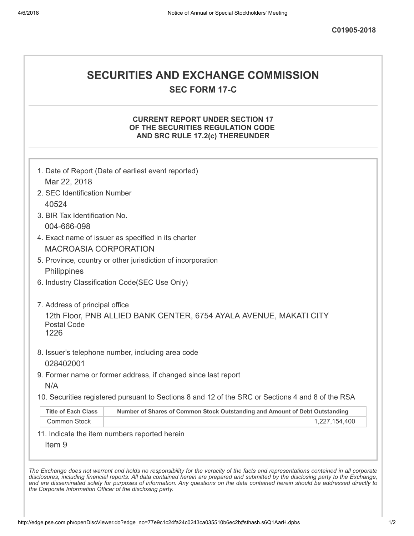# SECURITIES AND EXCHANGE COMMISSION

SEC FORM 17-C

### CURRENT REPORT UNDER SECTION 17 OF THE SECURITIES REGULATION CODE AND SRC RULE 17.2(c) THEREUNDER

| Mar 22, 2018                  | 1. Date of Report (Date of earliest event reported)                                               |
|-------------------------------|---------------------------------------------------------------------------------------------------|
| 2. SEC Identification Number  |                                                                                                   |
| 40524                         |                                                                                                   |
| 3. BIR Tax Identification No. |                                                                                                   |
| 004-666-098                   |                                                                                                   |
|                               | 4. Exact name of issuer as specified in its charter                                               |
| <b>MACROASIA CORPORATION</b>  |                                                                                                   |
|                               | 5. Province, country or other jurisdiction of incorporation                                       |
| Philippines                   |                                                                                                   |
|                               | 6. Industry Classification Code(SEC Use Only)                                                     |
| 1226                          | 8. Issuer's telephone number, including area code                                                 |
| 028402001                     |                                                                                                   |
| N/A                           | 9. Former name or former address, if changed since last report                                    |
|                               | 10. Securities registered pursuant to Sections 8 and 12 of the SRC or Sections 4 and 8 of the RSA |
|                               | Number of Shares of Common Stock Outstanding and Amount of Debt Outstanding                       |
| <b>Title of Each Class</b>    |                                                                                                   |
| <b>Common Stock</b>           | 1,227,154,400                                                                                     |

disclosures, including financial reports. All data contained herein are prepared and submitted by the disclosing party to the Exchange, and are disseminated solely for purposes of information. Any questions on the data contained herein should be addressed directly to the Corporate Information Officer of the disclosing party.